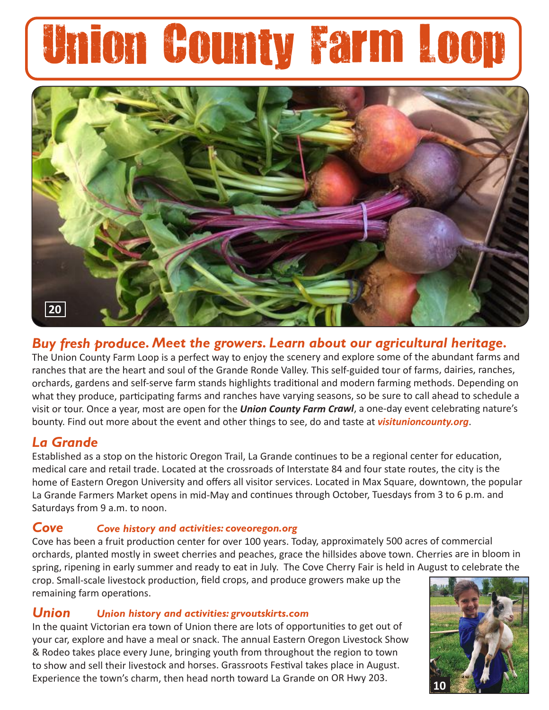# Union County Farm Loop



# *Buy fresh produce. Meet the growers. Learn about our agricultural heritage.*

The Union County Farm Loop is a perfect way to enjoy the scenery and explore some of the abundant farms and ranches that are the heart and soul of the Grande Ronde Valley. This self-guided tour of farms, dairies, ranches, orchards, gardens and self-serve farm stands highlights traditional and modern farming methods. Depending on what they produce, participating farms and ranches have varying seasons, so be sure to call ahead to schedule a visit or tour. Once a year, most are open for the *Union County Farm Crawl*, a one-day event celebrating nature's bounty. Find out more about the event and other things to see, do and taste at *visitunioncounty.org*.

# *La Grande*

Established as a stop on the historic Oregon Trail, La Grande continues to be a regional center for education, medical care and retail trade. Located at the crossroads of Interstate 84 and four state routes, the city is the home of Eastern Oregon University and offers all visitor services. Located in Max Square, downtown, the popular La Grande Farmers Market opens in mid-May and continues through October, Tuesdays from 3 to 6 p.m. and Saturdays from 9 a.m. to noon.

# *Cove Cove history and activities: coveoregon.org*

Cove has been a fruit production center for over 100 years. Today, approximately 500 acres of commercial orchards, planted mostly in sweet cherries and peaches, grace the hillsides above town. Cherries are in bloom in spring, ripening in early summer and ready to eat in July. The Cove Cherry Fair is held in August to celebrate the

crop. Small-scale livestock production, field crops, and produce growers make up the remaining farm operations.

# *Union Union history and activities: grvoutskirts.com*

In the quaint Victorian era town of Union there are lots of opportunities to get out of your car, explore and have a meal or snack. The annual Eastern Oregon Livestock Show & Rodeo takes place every June, bringing youth from throughout the region to town to show and sell their livestock and horses. Grassroots Festival takes place in August. Experience the town's charm, then head north toward La Grande on OR Hwy 203. **<sup>10</sup>**

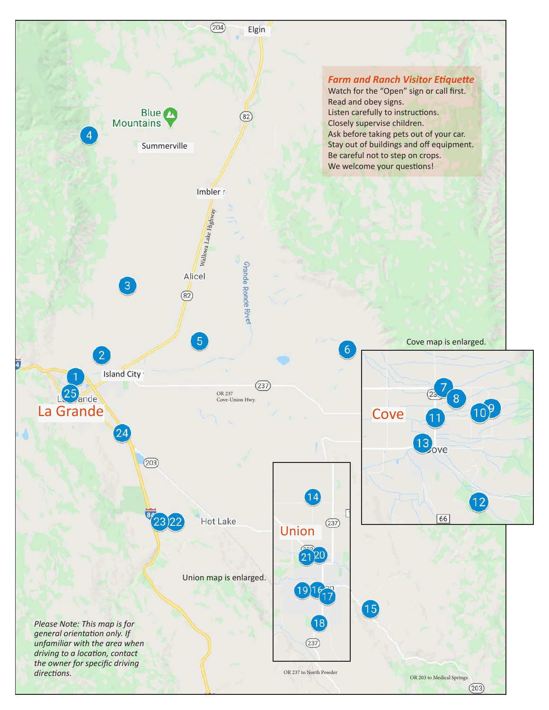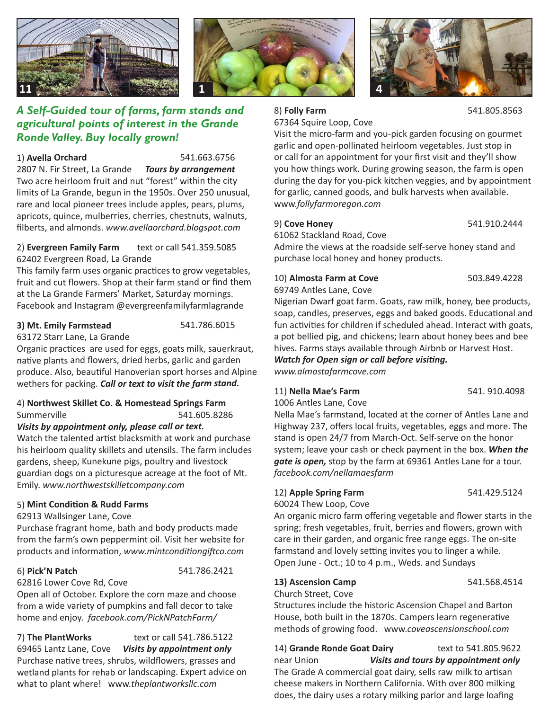





#### 1) **Avella Orchard** 541.663.6756

2807 N. Fir Street, La Grande *Tours by arrangement* Two acre heirloom fruit and nut "forest" within the city limits of La Grande, begun in the 1950s. Over 250 unusual, rare and local pioneer trees include apples, pears, plums, apricots, quince, mulberries, cherries, chestnuts, walnuts, filberts, and almonds. *www.avellaorchard.blogspot.com*

#### 2) **Evergreen Family Farm** text or call 541.359.5085 62402 Evergreen Road, La Grande

This family farm uses organic practices to grow vegetables, fruit and cut flowers. Shop at their farm stand or find them at the La Grande Farmers' Market, Saturday mornings. Facebook and Instagram @evergreenfamilyfarmlagrande

#### **3) Mt. Emily Farmstead** 541.786.6015

63172 Starr Lane, La Grande Organic practices are used for eggs, goats milk, sauerkraut, native plants and flowers, dried herbs, garlic and garden produce. Also, beautiful Hanoverian sport horses and Alpine wethers for packing. *Call or text to visit the farm stand.*

### 4) **Northwest Skillet Co. & Homestead Springs Farm** Summerville 541.605.8286

*Visits by appointment only, please call or text.* Watch the talented artist blacksmith at work and purchase his heirloom quality skillets and utensils. The farm includes gardens, sheep, Kunekune pigs, poultry and livestock guardian dogs on a picturesque acreage at the foot of Mt. Emily. *www.northwestskilletcompany.com*

#### 5) **Mint Condition & Rudd Farms**

62913 Wallsinger Lane, Cove

Purchase fragrant home, bath and body products made from the farm's own peppermint oil. Visit her website for products and information, *www.mintconditiongiftco.com*

#### 6) **Pick'N Patch** 541.786.2421

62816 Lower Cove Rd, Cove Open all of October. Explore the corn maze and choose from a wide variety of pumpkins and fall decor to take home and enjoy. *facebook.com/PickNPatchFarm/* 

7) **The PlantWorks** text or call 541.786.5122 69465 Lantz Lane, Cove *Visits by appointment only* Purchase native trees, shrubs, wildflowers, grasses and wetland plants for rehab or landscaping. Expert advice on what to plant where! www.*theplantworksllc.com*

67364 Squire Loop, Cove

8) **Folly Farm** 541.805.8563

Visit the micro-farm and you-pick garden focusing on gourmet garlic and open-pollinated heirloom vegetables. Just stop in or call for an appointment for your first visit and they'll show you how things work. During growing season, the farm is open during the day for you-pick kitchen veggies, and by appointment for garlic, canned goods, and bulk harvests when available. www.*follyfarmoregon.com*

#### 9) **Cove Honey** 541.910.2444

61062 Stackland Road, Cove

Admire the views at the roadside self-serve honey stand and purchase local honey and honey products.

#### 10) **Almosta Farm at Cove** 503.849.4228

69749 Antles Lane, Cove

Nigerian Dwarf goat farm. Goats, raw milk, honey, bee products, soap, candles, preserves, eggs and baked goods. Educational and fun activities for children if scheduled ahead. Interact with goats, a pot bellied pig, and chickens; learn about honey bees and bee hives. Farms stays available through Airbnb or Harvest Host. *Watch for Open sign or call before visiting. www.almostafarmcove.com*

#### 11) **Nella Mae's Farm** 541. 910.4098

1006 Antles Lane, Cove Nella Mae's farmstand, located at the corner of Antles Lane and Highway 237, offers local fruits, vegetables, eggs and more. The stand is open 24/7 from March-Oct. Self-serve on the honor system; leave your cash or check payment in the box. *When the gate is open,* stop by the farm at 69361 Antles Lane for a tour. *facebook.com/nellamaesfarm*

#### 12) **Apple Spring Farm** 541.429.5124

60024 Thew Loop, Cove

An organic micro farm offering vegetable and flower starts in the spring; fresh vegetables, fruit, berries and flowers, grown with care in their garden, and organic free range eggs. The on-site farmstand and lovely setting invites you to linger a while. Open June - Oct.; 10 to 4 p.m., Weds. and Sundays

#### **13) Ascension Camp** 541.568.4514

Church Street, Cove

Structures include the historic Ascension Chapel and Barton House, both built in the 1870s. Campers learn regenerative methods of growing food. www.*coveascensionschool.com*

14) **Grande Ronde Goat Dairy** text to 541.805.9622 near Union *Visits and tours by appointment only* The Grade A commercial goat dairy, sells raw milk to artisan cheese makers in Northern California. With over 800 milking does, the dairy uses a rotary milking parlor and large loafing